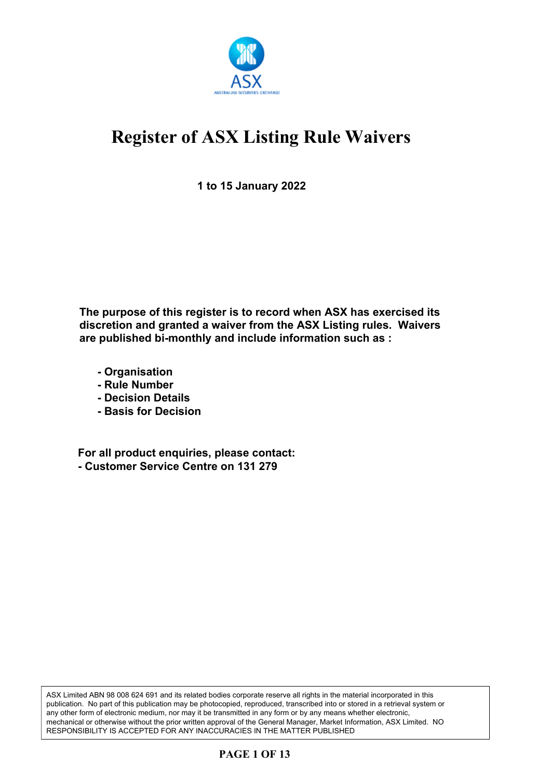

**1 to 15 January 2022**

**The purpose of this register is to record when ASX has exercised its discretion and granted a waiver from the ASX Listing rules. Waivers are published bi-monthly and include information such as :**

- **Organisation**
- **Rule Number**
- **Decision Details**
- **Basis for Decision**

**For all product enquiries, please contact: - Customer Service Centre on 131 279**

ASX Limited ABN 98 008 624 691 and its related bodies corporate reserve all rights in the material incorporated in this publication. No part of this publication may be photocopied, reproduced, transcribed into or stored in a retrieval system or any other form of electronic medium, nor may it be transmitted in any form or by any means whether electronic, mechanical or otherwise without the prior written approval of the General Manager, Market Information, ASX Limited. NO RESPONSIBILITY IS ACCEPTED FOR ANY INACCURACIES IN THE MATTER PUBLISHED

### **PAGE 1 OF 13**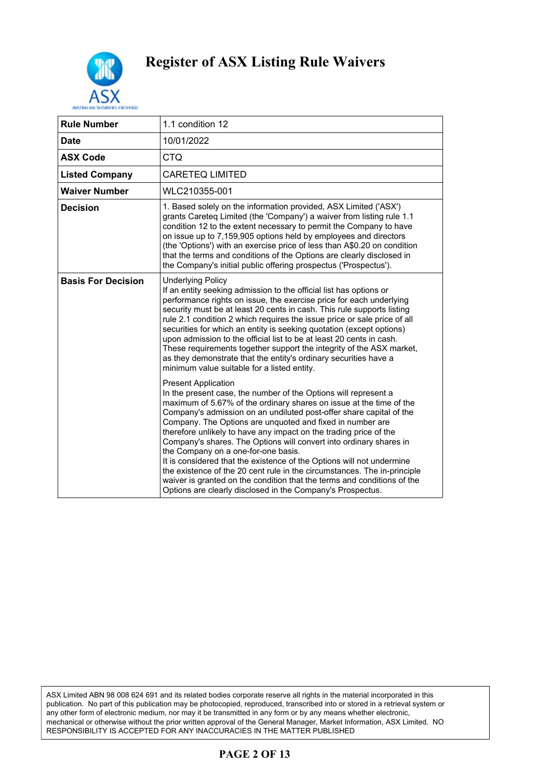

| <b>Rule Number</b>        | 1.1 condition 12                                                                                                                                                                                                                                                                                                                                                                                                                                                                                                                                                                                                                                                                                                                                                                         |
|---------------------------|------------------------------------------------------------------------------------------------------------------------------------------------------------------------------------------------------------------------------------------------------------------------------------------------------------------------------------------------------------------------------------------------------------------------------------------------------------------------------------------------------------------------------------------------------------------------------------------------------------------------------------------------------------------------------------------------------------------------------------------------------------------------------------------|
| <b>Date</b>               | 10/01/2022                                                                                                                                                                                                                                                                                                                                                                                                                                                                                                                                                                                                                                                                                                                                                                               |
| <b>ASX Code</b>           | <b>CTQ</b>                                                                                                                                                                                                                                                                                                                                                                                                                                                                                                                                                                                                                                                                                                                                                                               |
| <b>Listed Company</b>     | <b>CARETEQ LIMITED</b>                                                                                                                                                                                                                                                                                                                                                                                                                                                                                                                                                                                                                                                                                                                                                                   |
| <b>Waiver Number</b>      | WLC210355-001                                                                                                                                                                                                                                                                                                                                                                                                                                                                                                                                                                                                                                                                                                                                                                            |
| <b>Decision</b>           | 1. Based solely on the information provided, ASX Limited ('ASX')<br>grants Careteq Limited (the 'Company') a waiver from listing rule 1.1<br>condition 12 to the extent necessary to permit the Company to have<br>on issue up to 7,159,905 options held by employees and directors<br>(the 'Options') with an exercise price of less than A\$0.20 on condition<br>that the terms and conditions of the Options are clearly disclosed in<br>the Company's initial public offering prospectus ('Prospectus').                                                                                                                                                                                                                                                                             |
| <b>Basis For Decision</b> | <b>Underlying Policy</b><br>If an entity seeking admission to the official list has options or<br>performance rights on issue, the exercise price for each underlying<br>security must be at least 20 cents in cash. This rule supports listing<br>rule 2.1 condition 2 which requires the issue price or sale price of all<br>securities for which an entity is seeking quotation (except options)<br>upon admission to the official list to be at least 20 cents in cash.<br>These requirements together support the integrity of the ASX market,<br>as they demonstrate that the entity's ordinary securities have a<br>minimum value suitable for a listed entity.                                                                                                                   |
|                           | <b>Present Application</b><br>In the present case, the number of the Options will represent a<br>maximum of 5.67% of the ordinary shares on issue at the time of the<br>Company's admission on an undiluted post-offer share capital of the<br>Company. The Options are unquoted and fixed in number are<br>therefore unlikely to have any impact on the trading price of the<br>Company's shares. The Options will convert into ordinary shares in<br>the Company on a one-for-one basis.<br>It is considered that the existence of the Options will not undermine<br>the existence of the 20 cent rule in the circumstances. The in-principle<br>waiver is granted on the condition that the terms and conditions of the<br>Options are clearly disclosed in the Company's Prospectus. |

ASX Limited ABN 98 008 624 691 and its related bodies corporate reserve all rights in the material incorporated in this publication. No part of this publication may be photocopied, reproduced, transcribed into or stored in a retrieval system or any other form of electronic medium, nor may it be transmitted in any form or by any means whether electronic, mechanical or otherwise without the prior written approval of the General Manager, Market Information, ASX Limited. NO RESPONSIBILITY IS ACCEPTED FOR ANY INACCURACIES IN THE MATTER PUBLISHED

### **PAGE 2 OF 13**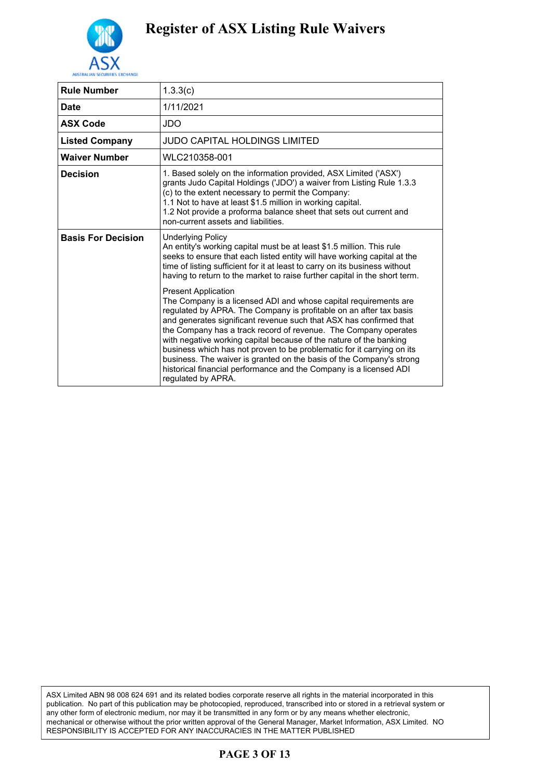

| <b>Rule Number</b>        | 1.3.3(c)                                                                                                                                                                                                                                                                                                                                                                                                                                                                                                                                                                                                                          |
|---------------------------|-----------------------------------------------------------------------------------------------------------------------------------------------------------------------------------------------------------------------------------------------------------------------------------------------------------------------------------------------------------------------------------------------------------------------------------------------------------------------------------------------------------------------------------------------------------------------------------------------------------------------------------|
| <b>Date</b>               | 1/11/2021                                                                                                                                                                                                                                                                                                                                                                                                                                                                                                                                                                                                                         |
| <b>ASX Code</b>           | JDO                                                                                                                                                                                                                                                                                                                                                                                                                                                                                                                                                                                                                               |
| <b>Listed Company</b>     | JUDO CAPITAL HOLDINGS LIMITED                                                                                                                                                                                                                                                                                                                                                                                                                                                                                                                                                                                                     |
| <b>Waiver Number</b>      | WLC210358-001                                                                                                                                                                                                                                                                                                                                                                                                                                                                                                                                                                                                                     |
| <b>Decision</b>           | 1. Based solely on the information provided, ASX Limited ('ASX')<br>grants Judo Capital Holdings ('JDO') a waiver from Listing Rule 1.3.3<br>(c) to the extent necessary to permit the Company:<br>1.1 Not to have at least \$1.5 million in working capital.<br>1.2 Not provide a proforma balance sheet that sets out current and<br>non-current assets and liabilities.                                                                                                                                                                                                                                                        |
| <b>Basis For Decision</b> | <b>Underlying Policy</b><br>An entity's working capital must be at least \$1.5 million. This rule<br>seeks to ensure that each listed entity will have working capital at the<br>time of listing sufficient for it at least to carry on its business without<br>having to return to the market to raise further capital in the short term.                                                                                                                                                                                                                                                                                        |
|                           | <b>Present Application</b><br>The Company is a licensed ADI and whose capital requirements are<br>regulated by APRA. The Company is profitable on an after tax basis<br>and generates significant revenue such that ASX has confirmed that<br>the Company has a track record of revenue. The Company operates<br>with negative working capital because of the nature of the banking<br>business which has not proven to be problematic for it carrying on its<br>business. The waiver is granted on the basis of the Company's strong<br>historical financial performance and the Company is a licensed ADI<br>regulated by APRA. |

ASX Limited ABN 98 008 624 691 and its related bodies corporate reserve all rights in the material incorporated in this publication. No part of this publication may be photocopied, reproduced, transcribed into or stored in a retrieval system or any other form of electronic medium, nor may it be transmitted in any form or by any means whether electronic, mechanical or otherwise without the prior written approval of the General Manager, Market Information, ASX Limited. NO RESPONSIBILITY IS ACCEPTED FOR ANY INACCURACIES IN THE MATTER PUBLISHED

### **PAGE 3 OF 13**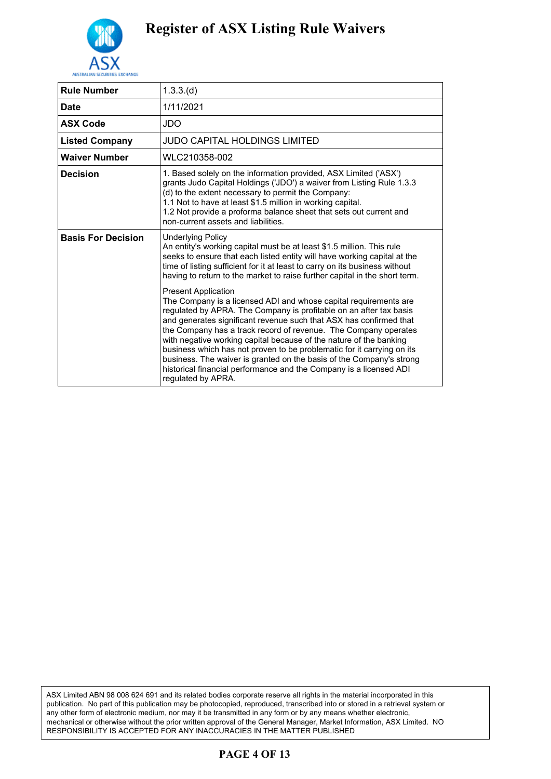

| <b>Rule Number</b>        | 1.3.3(d)                                                                                                                                                                                                                                                                                                                                                                                                                                                                                                                                                                                                                          |
|---------------------------|-----------------------------------------------------------------------------------------------------------------------------------------------------------------------------------------------------------------------------------------------------------------------------------------------------------------------------------------------------------------------------------------------------------------------------------------------------------------------------------------------------------------------------------------------------------------------------------------------------------------------------------|
| <b>Date</b>               | 1/11/2021                                                                                                                                                                                                                                                                                                                                                                                                                                                                                                                                                                                                                         |
| <b>ASX Code</b>           | JDO                                                                                                                                                                                                                                                                                                                                                                                                                                                                                                                                                                                                                               |
| <b>Listed Company</b>     | JUDO CAPITAL HOLDINGS LIMITED                                                                                                                                                                                                                                                                                                                                                                                                                                                                                                                                                                                                     |
| <b>Waiver Number</b>      | WLC210358-002                                                                                                                                                                                                                                                                                                                                                                                                                                                                                                                                                                                                                     |
| <b>Decision</b>           | 1. Based solely on the information provided, ASX Limited ('ASX')<br>grants Judo Capital Holdings ('JDO') a waiver from Listing Rule 1.3.3<br>(d) to the extent necessary to permit the Company:<br>1.1 Not to have at least \$1.5 million in working capital.<br>1.2 Not provide a proforma balance sheet that sets out current and<br>non-current assets and liabilities.                                                                                                                                                                                                                                                        |
| <b>Basis For Decision</b> | <b>Underlying Policy</b><br>An entity's working capital must be at least \$1.5 million. This rule<br>seeks to ensure that each listed entity will have working capital at the<br>time of listing sufficient for it at least to carry on its business without<br>having to return to the market to raise further capital in the short term.                                                                                                                                                                                                                                                                                        |
|                           | <b>Present Application</b><br>The Company is a licensed ADI and whose capital requirements are<br>regulated by APRA. The Company is profitable on an after tax basis<br>and generates significant revenue such that ASX has confirmed that<br>the Company has a track record of revenue. The Company operates<br>with negative working capital because of the nature of the banking<br>business which has not proven to be problematic for it carrying on its<br>business. The waiver is granted on the basis of the Company's strong<br>historical financial performance and the Company is a licensed ADI<br>regulated by APRA. |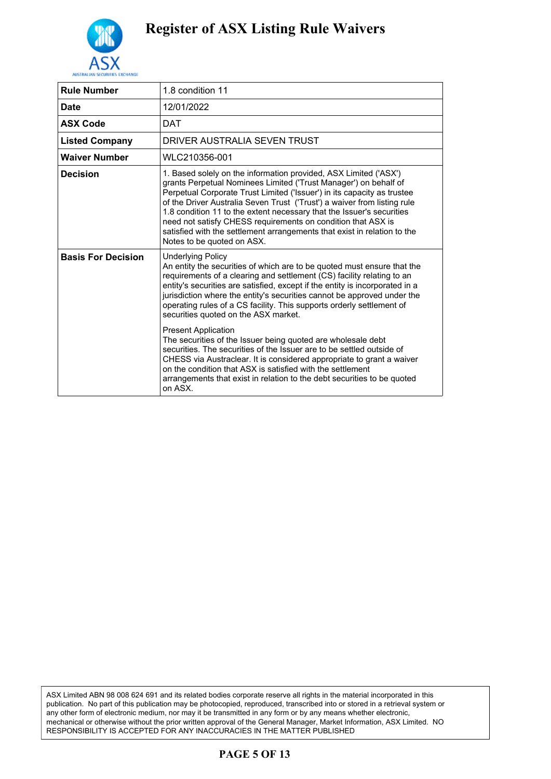

| 1.8 condition 11                                                                                                                                                                                                                                                                                                                                                                                                                                                                                                                                                                                                                                                                                                                                                                                                                                   |
|----------------------------------------------------------------------------------------------------------------------------------------------------------------------------------------------------------------------------------------------------------------------------------------------------------------------------------------------------------------------------------------------------------------------------------------------------------------------------------------------------------------------------------------------------------------------------------------------------------------------------------------------------------------------------------------------------------------------------------------------------------------------------------------------------------------------------------------------------|
| 12/01/2022                                                                                                                                                                                                                                                                                                                                                                                                                                                                                                                                                                                                                                                                                                                                                                                                                                         |
| <b>DAT</b>                                                                                                                                                                                                                                                                                                                                                                                                                                                                                                                                                                                                                                                                                                                                                                                                                                         |
| DRIVER AUSTRALIA SEVEN TRUST                                                                                                                                                                                                                                                                                                                                                                                                                                                                                                                                                                                                                                                                                                                                                                                                                       |
| WLC210356-001                                                                                                                                                                                                                                                                                                                                                                                                                                                                                                                                                                                                                                                                                                                                                                                                                                      |
| 1. Based solely on the information provided, ASX Limited ('ASX')<br>grants Perpetual Nominees Limited ('Trust Manager') on behalf of<br>Perpetual Corporate Trust Limited ('Issuer') in its capacity as trustee<br>of the Driver Australia Seven Trust ('Trust') a waiver from listing rule<br>1.8 condition 11 to the extent necessary that the Issuer's securities<br>need not satisfy CHESS requirements on condition that ASX is<br>satisfied with the settlement arrangements that exist in relation to the<br>Notes to be quoted on ASX.                                                                                                                                                                                                                                                                                                     |
| <b>Underlying Policy</b><br>An entity the securities of which are to be quoted must ensure that the<br>requirements of a clearing and settlement (CS) facility relating to an<br>entity's securities are satisfied, except if the entity is incorporated in a<br>jurisdiction where the entity's securities cannot be approved under the<br>operating rules of a CS facility. This supports orderly settlement of<br>securities quoted on the ASX market.<br><b>Present Application</b><br>The securities of the Issuer being quoted are wholesale debt<br>securities. The securities of the Issuer are to be settled outside of<br>CHESS via Austraclear. It is considered appropriate to grant a waiver<br>on the condition that ASX is satisfied with the settlement<br>arrangements that exist in relation to the debt securities to be quoted |
| on ASX.                                                                                                                                                                                                                                                                                                                                                                                                                                                                                                                                                                                                                                                                                                                                                                                                                                            |
|                                                                                                                                                                                                                                                                                                                                                                                                                                                                                                                                                                                                                                                                                                                                                                                                                                                    |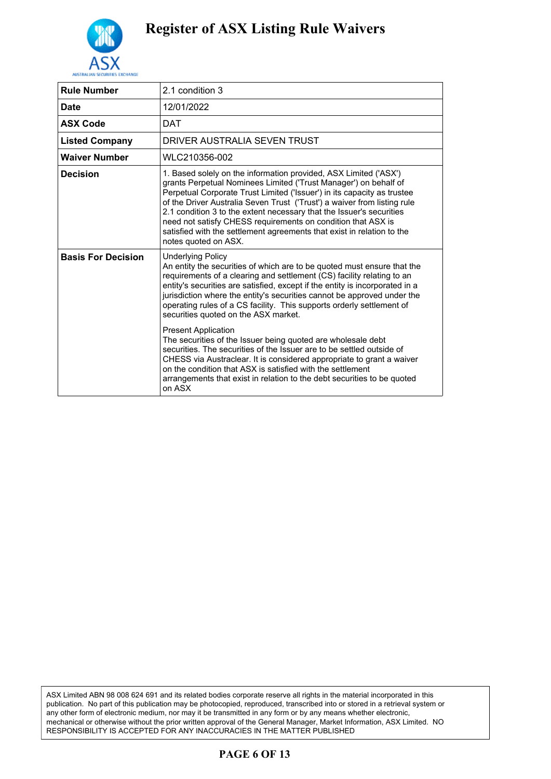

| <b>Rule Number</b>        | 2.1 condition 3                                                                                                                                                                                                                                                                                                                                                                                                                                                                                                                       |
|---------------------------|---------------------------------------------------------------------------------------------------------------------------------------------------------------------------------------------------------------------------------------------------------------------------------------------------------------------------------------------------------------------------------------------------------------------------------------------------------------------------------------------------------------------------------------|
| <b>Date</b>               | 12/01/2022                                                                                                                                                                                                                                                                                                                                                                                                                                                                                                                            |
| <b>ASX Code</b>           | <b>DAT</b>                                                                                                                                                                                                                                                                                                                                                                                                                                                                                                                            |
| <b>Listed Company</b>     | DRIVER AUSTRALIA SEVEN TRUST                                                                                                                                                                                                                                                                                                                                                                                                                                                                                                          |
| <b>Waiver Number</b>      | WLC210356-002                                                                                                                                                                                                                                                                                                                                                                                                                                                                                                                         |
| <b>Decision</b>           | 1. Based solely on the information provided, ASX Limited ('ASX')<br>grants Perpetual Nominees Limited ('Trust Manager') on behalf of<br>Perpetual Corporate Trust Limited ('Issuer') in its capacity as trustee<br>of the Driver Australia Seven Trust ('Trust') a waiver from listing rule<br>2.1 condition 3 to the extent necessary that the Issuer's securities<br>need not satisfy CHESS requirements on condition that ASX is<br>satisfied with the settlement agreements that exist in relation to the<br>notes quoted on ASX. |
| <b>Basis For Decision</b> | <b>Underlying Policy</b><br>An entity the securities of which are to be quoted must ensure that the<br>requirements of a clearing and settlement (CS) facility relating to an<br>entity's securities are satisfied, except if the entity is incorporated in a<br>jurisdiction where the entity's securities cannot be approved under the<br>operating rules of a CS facility. This supports orderly settlement of<br>securities quoted on the ASX market.<br><b>Present Application</b>                                               |
|                           | The securities of the Issuer being quoted are wholesale debt<br>securities. The securities of the Issuer are to be settled outside of<br>CHESS via Austraclear. It is considered appropriate to grant a waiver<br>on the condition that ASX is satisfied with the settlement<br>arrangements that exist in relation to the debt securities to be quoted<br>on ASX                                                                                                                                                                     |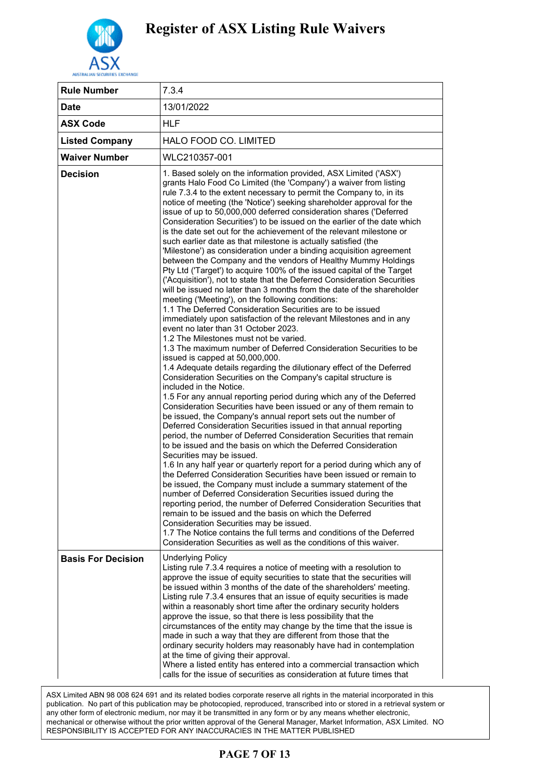

| <b>Rule Number</b>        | 7.3.4                                                                                                                                                                                                                                                                                                                                                                                                                                                                                                                                                                                                                                                                                                                                                                                                                                                                                                                                                                                                                                                                                                                                                                                                                                                                                                                                                                                                                                                                                                                                                                                                                                                                                                                                                                                                                                                                                                                                                                                                                                                                                                                                                                                                                                                                                                                                                                                                                                                                                                                                                                                               |
|---------------------------|-----------------------------------------------------------------------------------------------------------------------------------------------------------------------------------------------------------------------------------------------------------------------------------------------------------------------------------------------------------------------------------------------------------------------------------------------------------------------------------------------------------------------------------------------------------------------------------------------------------------------------------------------------------------------------------------------------------------------------------------------------------------------------------------------------------------------------------------------------------------------------------------------------------------------------------------------------------------------------------------------------------------------------------------------------------------------------------------------------------------------------------------------------------------------------------------------------------------------------------------------------------------------------------------------------------------------------------------------------------------------------------------------------------------------------------------------------------------------------------------------------------------------------------------------------------------------------------------------------------------------------------------------------------------------------------------------------------------------------------------------------------------------------------------------------------------------------------------------------------------------------------------------------------------------------------------------------------------------------------------------------------------------------------------------------------------------------------------------------------------------------------------------------------------------------------------------------------------------------------------------------------------------------------------------------------------------------------------------------------------------------------------------------------------------------------------------------------------------------------------------------------------------------------------------------------------------------------------------------|
| <b>Date</b>               | 13/01/2022                                                                                                                                                                                                                                                                                                                                                                                                                                                                                                                                                                                                                                                                                                                                                                                                                                                                                                                                                                                                                                                                                                                                                                                                                                                                                                                                                                                                                                                                                                                                                                                                                                                                                                                                                                                                                                                                                                                                                                                                                                                                                                                                                                                                                                                                                                                                                                                                                                                                                                                                                                                          |
| <b>ASX Code</b>           | HLF                                                                                                                                                                                                                                                                                                                                                                                                                                                                                                                                                                                                                                                                                                                                                                                                                                                                                                                                                                                                                                                                                                                                                                                                                                                                                                                                                                                                                                                                                                                                                                                                                                                                                                                                                                                                                                                                                                                                                                                                                                                                                                                                                                                                                                                                                                                                                                                                                                                                                                                                                                                                 |
| <b>Listed Company</b>     | HALO FOOD CO. LIMITED                                                                                                                                                                                                                                                                                                                                                                                                                                                                                                                                                                                                                                                                                                                                                                                                                                                                                                                                                                                                                                                                                                                                                                                                                                                                                                                                                                                                                                                                                                                                                                                                                                                                                                                                                                                                                                                                                                                                                                                                                                                                                                                                                                                                                                                                                                                                                                                                                                                                                                                                                                               |
| <b>Waiver Number</b>      | WLC210357-001                                                                                                                                                                                                                                                                                                                                                                                                                                                                                                                                                                                                                                                                                                                                                                                                                                                                                                                                                                                                                                                                                                                                                                                                                                                                                                                                                                                                                                                                                                                                                                                                                                                                                                                                                                                                                                                                                                                                                                                                                                                                                                                                                                                                                                                                                                                                                                                                                                                                                                                                                                                       |
| <b>Decision</b>           | 1. Based solely on the information provided, ASX Limited ('ASX')<br>grants Halo Food Co Limited (the 'Company') a waiver from listing<br>rule 7.3.4 to the extent necessary to permit the Company to, in its<br>notice of meeting (the 'Notice') seeking shareholder approval for the<br>issue of up to 50,000,000 deferred consideration shares ('Deferred<br>Consideration Securities') to be issued on the earlier of the date which<br>is the date set out for the achievement of the relevant milestone or<br>such earlier date as that milestone is actually satisfied (the<br>'Milestone') as consideration under a binding acquisition agreement<br>between the Company and the vendors of Healthy Mummy Holdings<br>Pty Ltd ('Target') to acquire 100% of the issued capital of the Target<br>('Acquisition'), not to state that the Deferred Consideration Securities<br>will be issued no later than 3 months from the date of the shareholder<br>meeting ('Meeting'), on the following conditions:<br>1.1 The Deferred Consideration Securities are to be issued<br>immediately upon satisfaction of the relevant Milestones and in any<br>event no later than 31 October 2023.<br>1.2 The Milestones must not be varied.<br>1.3 The maximum number of Deferred Consideration Securities to be<br>issued is capped at 50,000,000.<br>1.4 Adequate details regarding the dilutionary effect of the Deferred<br>Consideration Securities on the Company's capital structure is<br>included in the Notice.<br>1.5 For any annual reporting period during which any of the Deferred<br>Consideration Securities have been issued or any of them remain to<br>be issued, the Company's annual report sets out the number of<br>Deferred Consideration Securities issued in that annual reporting<br>period, the number of Deferred Consideration Securities that remain<br>to be issued and the basis on which the Deferred Consideration<br>Securities may be issued.<br>1.6 In any half year or quarterly report for a period during which any of<br>the Deferred Consideration Securities have been issued or remain to<br>be issued, the Company must include a summary statement of the<br>number of Deferred Consideration Securities issued during the<br>reporting period, the number of Deferred Consideration Securities that<br>remain to be issued and the basis on which the Deferred<br>Consideration Securities may be issued.<br>1.7 The Notice contains the full terms and conditions of the Deferred<br>Consideration Securities as well as the conditions of this waiver. |
| <b>Basis For Decision</b> | <b>Underlying Policy</b><br>Listing rule 7.3.4 requires a notice of meeting with a resolution to<br>approve the issue of equity securities to state that the securities will<br>be issued within 3 months of the date of the shareholders' meeting.<br>Listing rule 7.3.4 ensures that an issue of equity securities is made<br>within a reasonably short time after the ordinary security holders<br>approve the issue, so that there is less possibility that the<br>circumstances of the entity may change by the time that the issue is<br>made in such a way that they are different from those that the<br>ordinary security holders may reasonably have had in contemplation<br>at the time of giving their approval.<br>Where a listed entity has entered into a commercial transaction which<br>calls for the issue of securities as consideration at future times that                                                                                                                                                                                                                                                                                                                                                                                                                                                                                                                                                                                                                                                                                                                                                                                                                                                                                                                                                                                                                                                                                                                                                                                                                                                                                                                                                                                                                                                                                                                                                                                                                                                                                                                    |

ASX Limited ABN 98 008 624 691 and its related bodies corporate reserve all rights in the material incorporated in this publication. No part of this publication may be photocopied, reproduced, transcribed into or stored in a retrieval system or any other form of electronic medium, nor may it be transmitted in any form or by any means whether electronic, mechanical or otherwise without the prior written approval of the General Manager, Market Information, ASX Limited. NO RESPONSIBILITY IS ACCEPTED FOR ANY INACCURACIES IN THE MATTER PUBLISHED

### **PAGE 7 OF 13**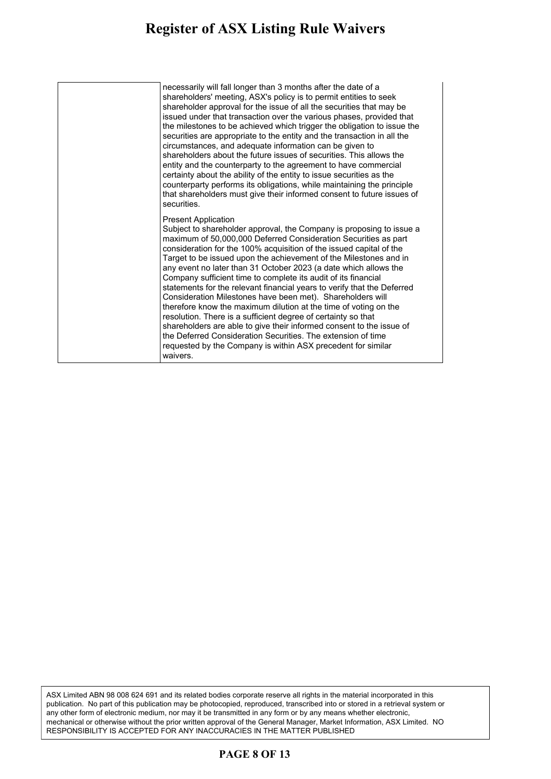#### **Register of ASX Listing Rule Waivers** gister of ASA Listing Rule Waivers made in such a way that they are different from those that the

| necessarily will fall longer than 3 months after the date of a<br>shareholders' meeting, ASX's policy is to permit entities to seek<br>shareholder approval for the issue of all the securities that may be<br>issued under that transaction over the various phases, provided that<br>the milestones to be achieved which trigger the obligation to issue the<br>securities are appropriate to the entity and the transaction in all the<br>circumstances, and adequate information can be given to<br>shareholders about the future issues of securities. This allows the<br>entity and the counterparty to the agreement to have commercial<br>certainty about the ability of the entity to issue securities as the<br>counterparty performs its obligations, while maintaining the principle<br>that shareholders must give their informed consent to future issues of<br>securities.                                                                 |
|-----------------------------------------------------------------------------------------------------------------------------------------------------------------------------------------------------------------------------------------------------------------------------------------------------------------------------------------------------------------------------------------------------------------------------------------------------------------------------------------------------------------------------------------------------------------------------------------------------------------------------------------------------------------------------------------------------------------------------------------------------------------------------------------------------------------------------------------------------------------------------------------------------------------------------------------------------------|
| <b>Present Application</b><br>Subject to shareholder approval, the Company is proposing to issue a<br>maximum of 50,000,000 Deferred Consideration Securities as part<br>consideration for the 100% acquisition of the issued capital of the<br>Target to be issued upon the achievement of the Milestones and in<br>any event no later than 31 October 2023 (a date which allows the<br>Company sufficient time to complete its audit of its financial<br>statements for the relevant financial years to verify that the Deferred<br>Consideration Milestones have been met). Shareholders will<br>therefore know the maximum dilution at the time of voting on the<br>resolution. There is a sufficient degree of certainty so that<br>shareholders are able to give their informed consent to the issue of<br>the Deferred Consideration Securities. The extension of time<br>requested by the Company is within ASX precedent for similar<br>waivers. |

ASX Limited ABN 98 008 624 691 and its related bodies corporate reserve all rights in the material incorporated in this publication. No part of this publication may be photocopied, reproduced, transcribed into or stored in a retrieval system or any other form of electronic medium, nor may it be transmitted in any form or by any means whether electronic, mechanical or otherwise without the prior written approval of the General Manager, Market Information, ASX Limited. NO RESPONSIBILITY IS ACCEPTED FOR ANY INACCURACIES IN THE MATTER PUBLISHED

### **PAGE 8 OF 13**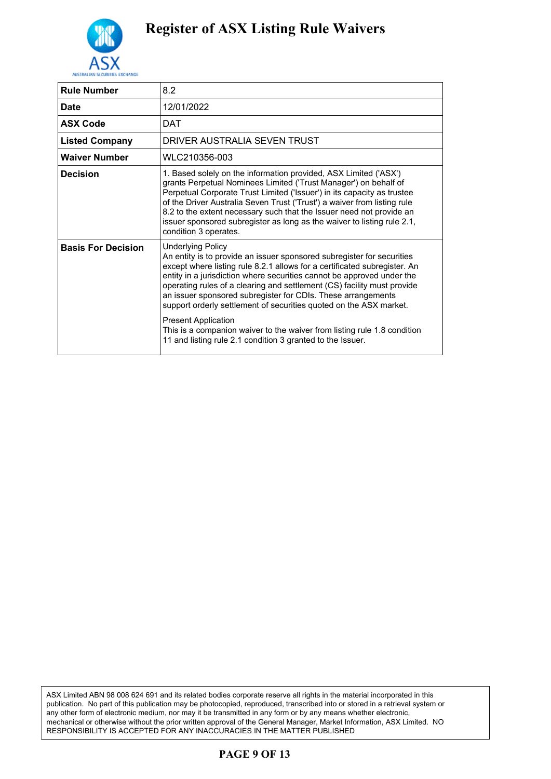

| <b>Rule Number</b>        | 8.2                                                                                                                                                                                                                                                                                                                                                                                                                                                                                                                                                                                                                                                |
|---------------------------|----------------------------------------------------------------------------------------------------------------------------------------------------------------------------------------------------------------------------------------------------------------------------------------------------------------------------------------------------------------------------------------------------------------------------------------------------------------------------------------------------------------------------------------------------------------------------------------------------------------------------------------------------|
| <b>Date</b>               | 12/01/2022                                                                                                                                                                                                                                                                                                                                                                                                                                                                                                                                                                                                                                         |
| <b>ASX Code</b>           | DAT                                                                                                                                                                                                                                                                                                                                                                                                                                                                                                                                                                                                                                                |
| <b>Listed Company</b>     | DRIVER AUSTRALIA SEVEN TRUST                                                                                                                                                                                                                                                                                                                                                                                                                                                                                                                                                                                                                       |
| <b>Waiver Number</b>      | WLC210356-003                                                                                                                                                                                                                                                                                                                                                                                                                                                                                                                                                                                                                                      |
| <b>Decision</b>           | 1. Based solely on the information provided, ASX Limited ('ASX')<br>grants Perpetual Nominees Limited ('Trust Manager') on behalf of<br>Perpetual Corporate Trust Limited ('Issuer') in its capacity as trustee<br>of the Driver Australia Seven Trust ('Trust') a waiver from listing rule<br>8.2 to the extent necessary such that the Issuer need not provide an<br>issuer sponsored subregister as long as the waiver to listing rule 2.1,<br>condition 3 operates.                                                                                                                                                                            |
| <b>Basis For Decision</b> | <b>Underlying Policy</b><br>An entity is to provide an issuer sponsored subregister for securities<br>except where listing rule 8.2.1 allows for a certificated subregister. An<br>entity in a jurisdiction where securities cannot be approved under the<br>operating rules of a clearing and settlement (CS) facility must provide<br>an issuer sponsored subregister for CDIs. These arrangements<br>support orderly settlement of securities quoted on the ASX market.<br><b>Present Application</b><br>This is a companion waiver to the waiver from listing rule 1.8 condition<br>11 and listing rule 2.1 condition 3 granted to the Issuer. |

ASX Limited ABN 98 008 624 691 and its related bodies corporate reserve all rights in the material incorporated in this publication. No part of this publication may be photocopied, reproduced, transcribed into or stored in a retrieval system or any other form of electronic medium, nor may it be transmitted in any form or by any means whether electronic, mechanical or otherwise without the prior written approval of the General Manager, Market Information, ASX Limited. NO RESPONSIBILITY IS ACCEPTED FOR ANY INACCURACIES IN THE MATTER PUBLISHED

### **PAGE 9 OF 13**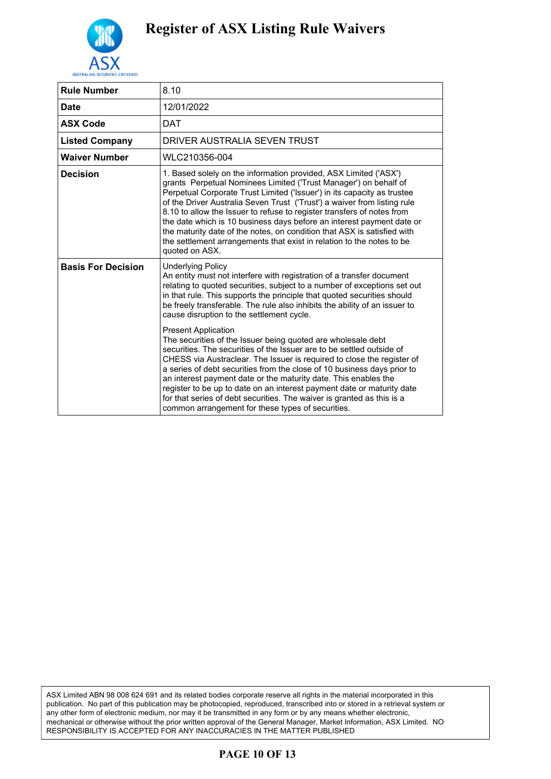

| <b>Rule Number</b>        | 8.10                                                                                                                                                                                                                                                                                                                                                                                                                                                                                                                                                                                                                 |
|---------------------------|----------------------------------------------------------------------------------------------------------------------------------------------------------------------------------------------------------------------------------------------------------------------------------------------------------------------------------------------------------------------------------------------------------------------------------------------------------------------------------------------------------------------------------------------------------------------------------------------------------------------|
| <b>Date</b>               | 12/01/2022                                                                                                                                                                                                                                                                                                                                                                                                                                                                                                                                                                                                           |
| <b>ASX Code</b>           | <b>DAT</b>                                                                                                                                                                                                                                                                                                                                                                                                                                                                                                                                                                                                           |
| <b>Listed Company</b>     | DRIVER AUSTRALIA SEVEN TRUST                                                                                                                                                                                                                                                                                                                                                                                                                                                                                                                                                                                         |
| <b>Waiver Number</b>      | WLC210356-004                                                                                                                                                                                                                                                                                                                                                                                                                                                                                                                                                                                                        |
| <b>Decision</b>           | 1. Based solely on the information provided, ASX Limited ('ASX')<br>grants Perpetual Nominees Limited ('Trust Manager') on behalf of<br>Perpetual Corporate Trust Limited ('Issuer') in its capacity as trustee<br>of the Driver Australia Seven Trust ('Trust') a waiver from listing rule<br>8.10 to allow the Issuer to refuse to register transfers of notes from<br>the date which is 10 business days before an interest payment date or<br>the maturity date of the notes, on condition that ASX is satisfied with<br>the settlement arrangements that exist in relation to the notes to be<br>quoted on ASX. |
| <b>Basis For Decision</b> | <b>Underlying Policy</b><br>An entity must not interfere with registration of a transfer document<br>relating to quoted securities, subject to a number of exceptions set out<br>in that rule. This supports the principle that quoted securities should<br>be freely transferable. The rule also inhibits the ability of an issuer to<br>cause disruption to the settlement cycle.                                                                                                                                                                                                                                  |
|                           | <b>Present Application</b><br>The securities of the Issuer being quoted are wholesale debt<br>securities. The securities of the Issuer are to be settled outside of<br>CHESS via Austraclear. The Issuer is required to close the register of<br>a series of debt securities from the close of 10 business days prior to<br>an interest payment date or the maturity date. This enables the<br>register to be up to date on an interest payment date or maturity date<br>for that series of debt securities. The waiver is granted as this is a<br>common arrangement for these types of securities.                 |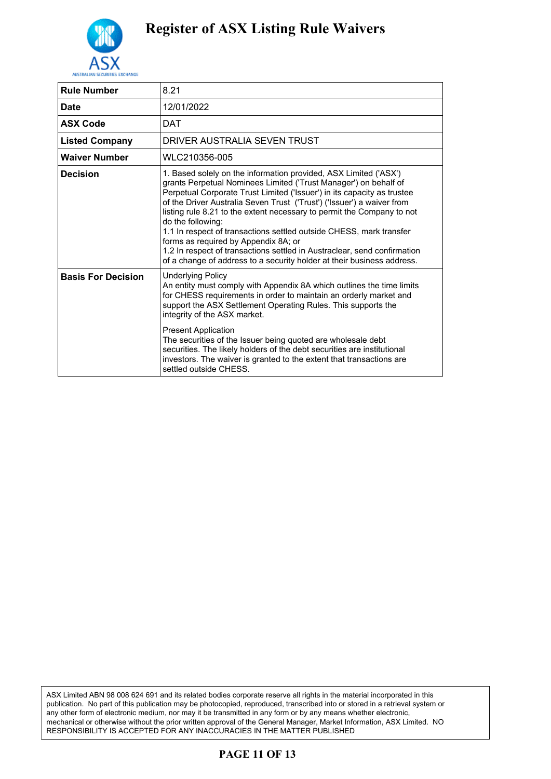

| 8.21                                                                                                                                                                                                                                                                                                                                                                                                                                                                                                                                                                                                                                                          |
|---------------------------------------------------------------------------------------------------------------------------------------------------------------------------------------------------------------------------------------------------------------------------------------------------------------------------------------------------------------------------------------------------------------------------------------------------------------------------------------------------------------------------------------------------------------------------------------------------------------------------------------------------------------|
| 12/01/2022                                                                                                                                                                                                                                                                                                                                                                                                                                                                                                                                                                                                                                                    |
| DAT                                                                                                                                                                                                                                                                                                                                                                                                                                                                                                                                                                                                                                                           |
| DRIVER AUSTRALIA SEVEN TRUST                                                                                                                                                                                                                                                                                                                                                                                                                                                                                                                                                                                                                                  |
| WLC210356-005                                                                                                                                                                                                                                                                                                                                                                                                                                                                                                                                                                                                                                                 |
| 1. Based solely on the information provided, ASX Limited ('ASX')<br>grants Perpetual Nominees Limited ('Trust Manager') on behalf of<br>Perpetual Corporate Trust Limited ('Issuer') in its capacity as trustee<br>of the Driver Australia Seven Trust ('Trust') ('Issuer') a waiver from<br>listing rule 8.21 to the extent necessary to permit the Company to not<br>do the following:<br>1.1 In respect of transactions settled outside CHESS, mark transfer<br>forms as required by Appendix 8A; or<br>1.2 In respect of transactions settled in Austraclear, send confirmation<br>of a change of address to a security holder at their business address. |
| <b>Underlying Policy</b><br>An entity must comply with Appendix 8A which outlines the time limits<br>for CHESS requirements in order to maintain an orderly market and<br>support the ASX Settlement Operating Rules. This supports the<br>integrity of the ASX market.<br><b>Present Application</b><br>The securities of the Issuer being quoted are wholesale debt<br>securities. The likely holders of the debt securities are institutional<br>investors. The waiver is granted to the extent that transactions are<br>settled outside CHFSS.                                                                                                            |
|                                                                                                                                                                                                                                                                                                                                                                                                                                                                                                                                                                                                                                                               |

ASX Limited ABN 98 008 624 691 and its related bodies corporate reserve all rights in the material incorporated in this publication. No part of this publication may be photocopied, reproduced, transcribed into or stored in a retrieval system or any other form of electronic medium, nor may it be transmitted in any form or by any means whether electronic, mechanical or otherwise without the prior written approval of the General Manager, Market Information, ASX Limited. NO RESPONSIBILITY IS ACCEPTED FOR ANY INACCURACIES IN THE MATTER PUBLISHED

### **PAGE 11 OF 13**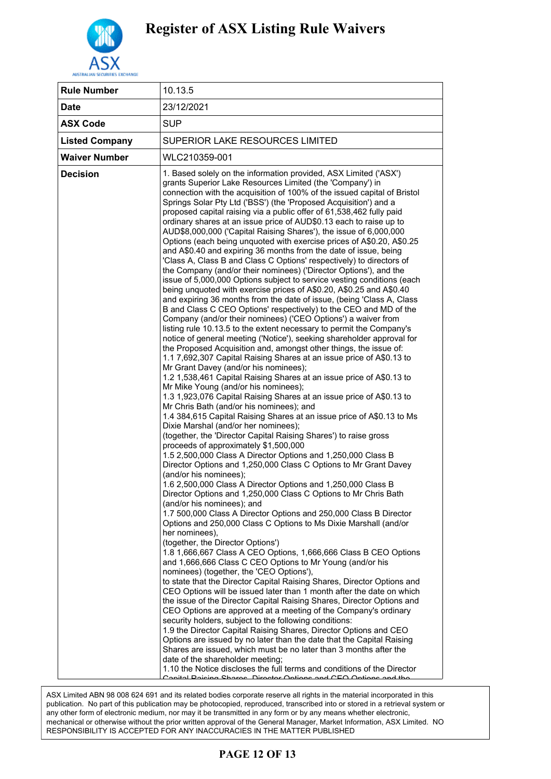

| <b>Rule Number</b>    | 10.13.5                                                                                                                                                                                                                                                                                                                                                                                                                                                                                                                                                                                                                                                                                                                                                                                                                                                                                                                                                                                                                                                                                                                                                                                                                                                                                                                                                                                                                                                                                                                                                                                                                                                                                                                                                                                                                                                                                                                                                                                                                                                                                                                                                                                                                                                                                                                                                                                                                                                                                                                                                                                                                                                                                                                                                                                                                                                                                                                                                                                                                                                                                                                                                                                                                                                                                                                                                                                                                                          |
|-----------------------|--------------------------------------------------------------------------------------------------------------------------------------------------------------------------------------------------------------------------------------------------------------------------------------------------------------------------------------------------------------------------------------------------------------------------------------------------------------------------------------------------------------------------------------------------------------------------------------------------------------------------------------------------------------------------------------------------------------------------------------------------------------------------------------------------------------------------------------------------------------------------------------------------------------------------------------------------------------------------------------------------------------------------------------------------------------------------------------------------------------------------------------------------------------------------------------------------------------------------------------------------------------------------------------------------------------------------------------------------------------------------------------------------------------------------------------------------------------------------------------------------------------------------------------------------------------------------------------------------------------------------------------------------------------------------------------------------------------------------------------------------------------------------------------------------------------------------------------------------------------------------------------------------------------------------------------------------------------------------------------------------------------------------------------------------------------------------------------------------------------------------------------------------------------------------------------------------------------------------------------------------------------------------------------------------------------------------------------------------------------------------------------------------------------------------------------------------------------------------------------------------------------------------------------------------------------------------------------------------------------------------------------------------------------------------------------------------------------------------------------------------------------------------------------------------------------------------------------------------------------------------------------------------------------------------------------------------------------------------------------------------------------------------------------------------------------------------------------------------------------------------------------------------------------------------------------------------------------------------------------------------------------------------------------------------------------------------------------------------------------------------------------------------------------------------------------------------|
| <b>Date</b>           | 23/12/2021                                                                                                                                                                                                                                                                                                                                                                                                                                                                                                                                                                                                                                                                                                                                                                                                                                                                                                                                                                                                                                                                                                                                                                                                                                                                                                                                                                                                                                                                                                                                                                                                                                                                                                                                                                                                                                                                                                                                                                                                                                                                                                                                                                                                                                                                                                                                                                                                                                                                                                                                                                                                                                                                                                                                                                                                                                                                                                                                                                                                                                                                                                                                                                                                                                                                                                                                                                                                                                       |
| <b>ASX Code</b>       | <b>SUP</b>                                                                                                                                                                                                                                                                                                                                                                                                                                                                                                                                                                                                                                                                                                                                                                                                                                                                                                                                                                                                                                                                                                                                                                                                                                                                                                                                                                                                                                                                                                                                                                                                                                                                                                                                                                                                                                                                                                                                                                                                                                                                                                                                                                                                                                                                                                                                                                                                                                                                                                                                                                                                                                                                                                                                                                                                                                                                                                                                                                                                                                                                                                                                                                                                                                                                                                                                                                                                                                       |
| <b>Listed Company</b> | SUPERIOR LAKE RESOURCES LIMITED                                                                                                                                                                                                                                                                                                                                                                                                                                                                                                                                                                                                                                                                                                                                                                                                                                                                                                                                                                                                                                                                                                                                                                                                                                                                                                                                                                                                                                                                                                                                                                                                                                                                                                                                                                                                                                                                                                                                                                                                                                                                                                                                                                                                                                                                                                                                                                                                                                                                                                                                                                                                                                                                                                                                                                                                                                                                                                                                                                                                                                                                                                                                                                                                                                                                                                                                                                                                                  |
| <b>Waiver Number</b>  | WLC210359-001                                                                                                                                                                                                                                                                                                                                                                                                                                                                                                                                                                                                                                                                                                                                                                                                                                                                                                                                                                                                                                                                                                                                                                                                                                                                                                                                                                                                                                                                                                                                                                                                                                                                                                                                                                                                                                                                                                                                                                                                                                                                                                                                                                                                                                                                                                                                                                                                                                                                                                                                                                                                                                                                                                                                                                                                                                                                                                                                                                                                                                                                                                                                                                                                                                                                                                                                                                                                                                    |
| <b>Decision</b>       | 1. Based solely on the information provided, ASX Limited ('ASX')<br>grants Superior Lake Resources Limited (the 'Company') in<br>connection with the acquisition of 100% of the issued capital of Bristol<br>Springs Solar Pty Ltd ('BSS') (the 'Proposed Acquisition') and a<br>proposed capital raising via a public offer of 61,538,462 fully paid<br>ordinary shares at an issue price of AUD\$0.13 each to raise up to<br>AUD\$8,000,000 ('Capital Raising Shares'), the issue of 6,000,000<br>Options (each being unquoted with exercise prices of A\$0.20, A\$0.25<br>and A\$0.40 and expiring 36 months from the date of issue, being<br>'Class A, Class B and Class C Options' respectively) to directors of<br>the Company (and/or their nominees) ('Director Options'), and the<br>issue of 5,000,000 Options subject to service vesting conditions (each<br>being unquoted with exercise prices of A\$0.20, A\$0.25 and A\$0.40<br>and expiring 36 months from the date of issue, (being 'Class A, Class<br>B and Class C CEO Options' respectively) to the CEO and MD of the<br>Company (and/or their nominees) ('CEO Options') a waiver from<br>listing rule 10.13.5 to the extent necessary to permit the Company's<br>notice of general meeting ('Notice'), seeking shareholder approval for<br>the Proposed Acquisition and, amongst other things, the issue of:<br>1.1 7,692,307 Capital Raising Shares at an issue price of A\$0.13 to<br>Mr Grant Davey (and/or his nominees);<br>1.2 1,538,461 Capital Raising Shares at an issue price of A\$0.13 to<br>Mr Mike Young (and/or his nominees);<br>1.3 1,923,076 Capital Raising Shares at an issue price of A\$0.13 to<br>Mr Chris Bath (and/or his nominees); and<br>1.4 384,615 Capital Raising Shares at an issue price of A\$0.13 to Ms<br>Dixie Marshal (and/or her nominees);<br>(together, the 'Director Capital Raising Shares') to raise gross<br>proceeds of approximately \$1,500,000<br>1.5 2,500,000 Class A Director Options and 1,250,000 Class B<br>Director Options and 1,250,000 Class C Options to Mr Grant Davey<br>(and/or his nominees);<br>1.6 2,500,000 Class A Director Options and 1,250,000 Class B<br>Director Options and 1,250,000 Class C Options to Mr Chris Bath<br>(and/or his nominees); and<br>1.7 500,000 Class A Director Options and 250,000 Class B Director<br>Options and 250,000 Class C Options to Ms Dixie Marshall (and/or<br>her nominees),<br>(together, the Director Options')<br>1.8 1,666,667 Class A CEO Options, 1,666,666 Class B CEO Options<br>and 1,666,666 Class C CEO Options to Mr Young (and/or his<br>nominees) (together, the 'CEO Options'),<br>to state that the Director Capital Raising Shares, Director Options and<br>CEO Options will be issued later than 1 month after the date on which<br>the issue of the Director Capital Raising Shares, Director Options and<br>CEO Options are approved at a meeting of the Company's ordinary<br>security holders, subject to the following conditions:<br>1.9 the Director Capital Raising Shares, Director Options and CEO<br>Options are issued by no later than the date that the Capital Raising<br>Shares are issued, which must be no later than 3 months after the<br>date of the shareholder meeting;<br>1.10 the Notice discloses the full terms and conditions of the Director<br>Conital Paining Charge Director Ontions and CEO Ontions and the |

Director Capital Raising Shares, Director Options and CEO Options ASX Limited ABN 98 008 624 691 and its related bodies corporate reserve all rights in the material incorporated in this ASA Limited ABN 96 000 024 091 and its related bodies corporate reserve an rights in the material incorporated in this<br>publication. No part of this publication may be photocopied, reproduced, transcribed into or stored in publication. The part of this publication hay be photocopied, reproduced, transcribed filto or stored in a retrieval<br>any other form of electronic medium, nor may it be transmitted in any form or by any means whether electr any other form or electronic mediam, her may it be danomited in any form or by any means whether electronic,<br>mechanical or otherwise without the prior written approval of the General Manager, Market Information, ASX Limite pprovements approved of the Donorel Memegory Memor Microsoft, 2004 L.<br>FOR ANY INACCLIRACIES IN THE MATTER PLIBLISHED. Options, and CEO Options; and RESPONSIBILITY IS ACCEPTED FOR ANY INACCURACIES IN THE MATTER PUBLISHED

#### $1.27 t$  the Notice and the Notice and in the Notice and in the Notice and in the Notice and in the Notice and in the Notice and in the Notice and in the Notice and in the Notice and in the Notice and in the Notice and in **PAGE 12 OF 13**